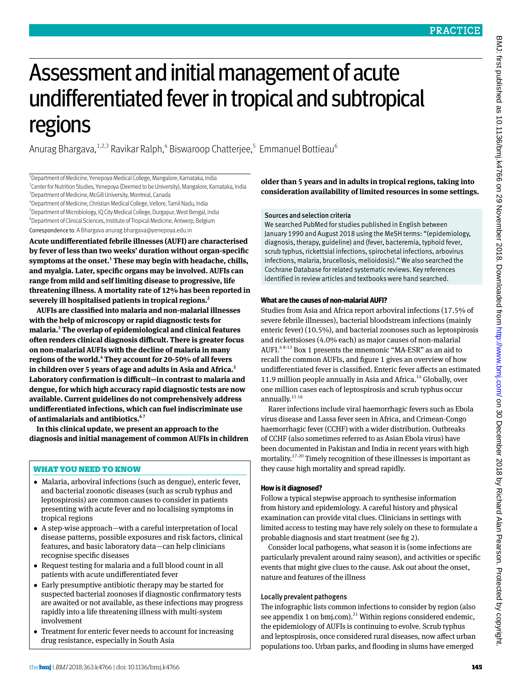# Assessment and initial management of acute undifferentiated fever in tropical and subtropical regions

Anurag Bhargava, $^{1,2,3}$  Ravikar Ralph, $^4$  Biswaroop Chatterjee, $^5$  Emmanuel Bottieau $^6$ 

<sup>1</sup>Department of Medicine, Yenepoya Medical College, Mangalore, Karnataka, India <sup>2</sup> Center for Nutrition Studies, Yenepoya (Deemed to be University), Mangalore, Karnataka, India <sup>3</sup> Department of Medicine, McGill University, Montreal, Canada

4 Department of Medicine, Christian Medical College, Vellore, Tamil Nadu, India

<sup>5</sup>Department of Microbiology, IQ City Medical College, Durgapur, West Bengal, India <sup>6</sup>Department of Clinical Sciences, Institute of Tropical Medicine, Antwerp, Belgium Correspondence to: A Bhargava [anurag.bhargava@yenepoya.edu.in](mailto:anurag.bhargava@yenepoya.edu.in)

**Acute undifferentiated febrile illnesses (AUFI) are characterised by fever of less than two weeks' duration without organ-specific**  symptoms at the onset.<sup>1</sup> These may begin with headache, chills, **and myalgia. Later, specific organs may be involved. AUFIs can range from mild and self limiting disease to progressive, life threatening illness. A mortality rate of 12% has been reported in severely ill hospitalised patients in tropical regions.2**

**AUFIs are classified into malaria and non-malarial illnesses with the help of microscopy or rapid diagnostic tests for malaria.3 The overlap of epidemiological and clinical features often renders clinical diagnosis difficult. There is greater focus on non-malarial AUFIs with the decline of malaria in many regions of the world.4 They account for 20-50% of all fevers in children over 5 years of age and adults in Asia and Africa.5 Laboratory confirmation is difficult—in contrast to malaria and dengue, for which high accuracy rapid diagnostic tests are now available. Current guidelines do not comprehensively address undifferentiated infections, which can fuel indiscriminate use of antimalarials and antibiotics.6 7**

**In this clinical update, we present an approach to the diagnosis and initial management of common AUFIs in children** 

## WHAT YOU NEED TO KNOW

- •  Malaria, arboviral infections (such as dengue), enteric fever, and bacterial zoonotic diseases (such as scrub typhus and leptospirosis) are common causes to consider in patients presenting with acute fever and no localising symptoms in tropical regions
- A step-wise approach—with a careful interpretation of local disease patterns, possible exposures and risk factors, clinical features, and basic laboratory data—can help clinicians recognise specific diseases
- •  Request testing for malaria and a full blood count in all patients with acute undifferentiated fever
- •  Early presumptive antibiotic therapy may be started for suspected bacterial zoonoses if diagnostic confirmatory tests are awaited or not available, as these infections may progress rapidly into a life threatening illness with multi-system involvement
- Treatment for enteric fever needs to account for increasing drug resistance, especially in South Asia

**older than 5 years and in adults in tropical regions, taking into consideration availability of limited resources in some settings.**

### Sources and selection criteria

We searched PubMed for studies published in English between January 1990 and August 2018 using the MeSH terms: "(epidemiology, diagnosis, therapy, guideline) and (fever, bacteremia, typhoid fever, scrub typhus, rickettsial infections, spirochetal infections, arbovirus infections, malaria, brucellosis, melioidosis)." We also searched the Cochrane Database for related systematic reviews. Key references identified in review articles and textbooks were hand searched.

## **What are the causes of non-malarial AUFI?**

Studies from Asia and Africa report arboviral infections (17.5% of severe febrile illnesses), bacterial bloodstream infections (mainly enteric fever) (10.5%), and bacterial zoonoses such as leptospirosis and rickettsioses (4.0% each) as major causes of non-malarial AUFI.6 8-13 Box 1 presents the mnemonic "MA-ESR" as an aid to recall the common AUFIs, and figure 1 gives an overview of how undifferentiated fever is classified. Enteric fever affects an estimated 11.9 million people annually in Asia and Africa.<sup>14</sup> Globally, over one million cases each of leptospirosis and scrub typhus occur annually.<sup>15 16</sup>

Rarer infections include viral haemorrhagic fevers such as Ebola virus disease and Lassa fever seen in Africa, and Crimean-Congo haemorrhagic fever (CCHF) with a wider distribution. Outbreaks of CCHF (also sometimes referred to as Asian Ebola virus) have been documented in Pakistan and India in recent years with high mortality.17-20 Timely recognition of these illnesses is important as they cause high mortality and spread rapidly.

## **How is it diagnosed?**

Follow a typical stepwise approach to synthesise information from history and epidemiology. A careful history and physical examination can provide vital clues. Clinicians in settings with limited access to testing may have rely solely on these to formulate a probable diagnosis and start treatment (see fig 2).

Consider local pathogens, what season it is (some infections are particularly prevalent around rainy season), and activities or specific events that might give clues to the cause. Ask out about the onset, nature and features of the illness

## Locally prevalent pathogens

The infographic lists common infections to consider by region (also see appendix 1 on bmj.com).<sup>21</sup> Within regions considered endemic, the epidemiology of AUFIs is continuing to evolve. Scrub typhus and leptospirosis, once considered rural diseases, now affect urban populations too. Urban parks, and flooding in slums have emerged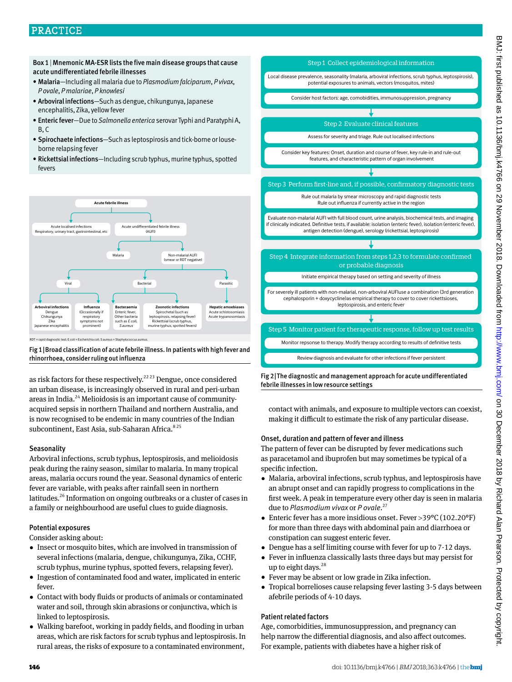## PRACTICE

Box 1 | Mnemonic MA-ESR lists the five main disease groups that cause acute undifferentiated febrile illnesses

- Malaria—Including all malaria due to *Plasmodium falciparum*, *P vivax*, *P ovale*, *P malariae*, *P knowlesi*
- Arboviral infections—Such as dengue, chikungunya, Japanese encephalitis, Zika, yellow fever
- Enteric fever—Due to *Salmonella enterica* serovar Typhi and Paratyphi A,  $B$ <sub>C</sub>
- Spirochaete infections—Such as leptospirosis and tick-borne or louseborne relapsing fever
- Rickettsial infections—Including scrub typhus, murine typhus, spotted fevers



RDT = rapid diagnostic test. E coli = Escherichia coli. S aureus = Staphylococcus aureus.

Fig 1|Broad classification of acute febrile illness. In patients with high fever and rhinorrhoea, consider ruling out influenza

as risk factors for these respectively.<sup>22,23</sup> Dengue, once considered an urban disease, is increasingly observed in rural and peri-urban areas in India.24 Melioidosis is an important cause of communityacquired sepsis in northern Thailand and northern Australia, and is now recognised to be endemic in many countries of the Indian subcontinent, East Asia, sub-Saharan Africa.<sup>825</sup>

#### **Seasonality**

Arboviral infections, scrub typhus, leptospirosis, and melioidosis peak during the rainy season, similar to malaria. In many tropical areas, malaria occurs round the year. Seasonal dynamics of enteric fever are variable, with peaks after rainfall seen in northern latitudes.<sup>26</sup> Information on ongoing outbreaks or a cluster of cases in a family or neighbourhood are useful clues to guide diagnosis.

#### Potential exposures

Consider asking about:

- •  Insect or mosquito bites, which are involved in transmission of several infections (malaria, dengue, chikungunya, Zika, CCHF, scrub typhus, murine typhus, spotted fevers, relapsing fever).
- Ingestion of contaminated food and water, implicated in enteric fever.
- •  Contact with body fluids or products of animals or contaminated water and soil, through skin abrasions or conjunctiva, which is linked to leptospirosis.
- •  Walking barefoot, working in paddy fields, and flooding in urban areas, which are risk factors for scrub typhus and leptospirosis. In rural areas, the risks of exposure to a contaminated environment,



Fig 2|The diagnostic and management approach for acute undifferentiated febrile illnesses in low resource settings

contact with animals, and exposure to multiple vectors can coexist, making it difficult to estimate the risk of any particular disease.

#### Onset, duration and pattern of fever and illness

The pattern of fever can be disrupted by fever medications such as paracetamol and ibuprofen but may sometimes be typical of a specific infection.

- •  Malaria, arboviral infections, scrub typhus, and leptospirosis have an abrupt onset and can rapidly progress to complications in the first week. A peak in temperature every other day is seen in malaria due to *Plasmodium vivax* or *P ovale*. 27
- Enteric fever has a more insidious onset. Fever >39°C (102.20°F) for more than three days with abdominal pain and diarrhoea or constipation can suggest enteric fever.
- Dengue has a self limiting course with fever for up to 7-12 days.
- •  Fever in influenza classically lasts three days but may persist for up to eight days.  $28$
- Fever may be absent or low grade in Zika infection.
- •  Tropical borrelioses cause relapsing fever lasting 3-5 days between afebrile periods of 4-10 days.

#### Patient related factors

Age, comorbidities, immunosuppression, and pregnancy can help narrow the differential diagnosis, and also affect outcomes. For example, patients with diabetes have a higher risk of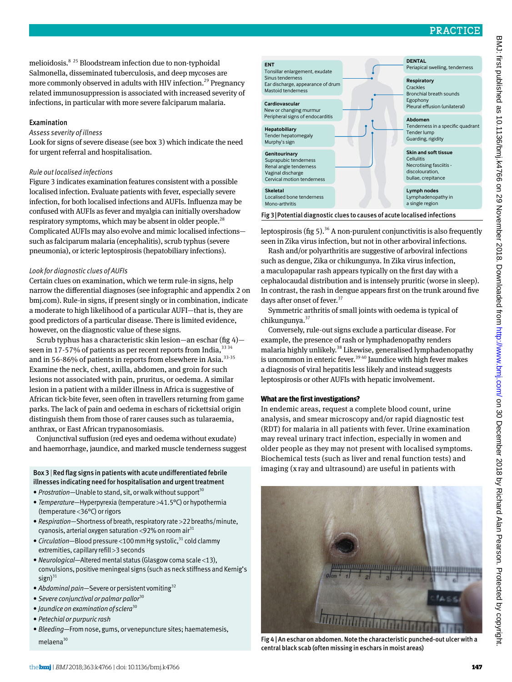melioidosis.8 25 Bloodstream infection due to non-typhoidal Salmonella, disseminated tuberculosis, and deep mycoses are more commonly observed in adults with HIV infection.<sup>29</sup> Pregnancy related immunosuppression is associated with increased severity of infections, in particular with more severe falciparum malaria.

#### Examination

#### *Assess severity of illness*

Look for signs of severe disease (see box 3) which indicate the need for urgent referral and hospitalisation.

#### *Rule out localised infections*

Figure 3 indicates examination features consistent with a possible localised infection. Evaluate patients with fever, especially severe infection, for both localised infections and AUFIs. Influenza may be confused with AUFIs as fever and myalgia can initially overshadow respiratory symptoms, which may be absent in older people.<sup>28</sup> Complicated AUFIs may also evolve and mimic localised infections such as falciparum malaria (encephalitis), scrub typhus (severe pneumonia), or icteric leptospirosis (hepatobiliary infections).

#### *Look for diagnostic clues of AUFIs*

Certain clues on examination, which we term rule-in signs, help narrow the differential diagnoses (see infographic and appendix 2 on bmj.com). Rule-in signs, if present singly or in combination, indicate a moderate to high likelihood of a particular AUFI—that is, they are good predictors of a particular disease. There is limited evidence, however, on the diagnostic value of these signs.

Scrub typhus has a characteristic skin lesion—an eschar (fig 4) seen in 17-57% of patients as per recent reports from India,  $3334$ and in 56-86% of patients in reports from elsewhere in Asia.<sup>33-35</sup> Examine the neck, chest, axilla, abdomen, and groin for such lesions not associated with pain, pruritus, or oedema. A similar lesion in a patient with a milder illness in Africa is suggestive of African tick-bite fever, seen often in travellers returning from game parks. The lack of pain and oedema in eschars of rickettsial origin distinguish them from those of rarer causes such as tularaemia, anthrax, or East African trypanosomiasis.

Conjunctival suffusion (red eyes and oedema without exudate) and haemorrhage, jaundice, and marked muscle tenderness suggest

## illnesses indicating need for hospitalisation and urgent treatment

- *Prostration*—Unable to stand, sit, or walk without support<sup>30</sup>
- *Temperature—*Hyperpyrexia (temperature >41.5°C) or hypothermia (temperature <36°C) or rigors
- *Respiration—*Shortness of breath, respiratory rate >22breaths/minute, cyanosis, arterial oxygen saturation <92% on room air<sup>31</sup>
- *Circulation*—Blood pressure <100 mm Hg systolic,<sup>31</sup> cold clammy extremities, capillary refill > 3 seconds
- *Neurological—*Altered mental status (Glasgow coma scale <13), convulsions, positive meningeal signs (such as neck stiffness and Kernig's sign) $31$
- *Abdominal pain*—Severe or persistent vomiting<sup>32</sup>
- *Severe conjunctival or palmar pallor*<sup>30</sup>
- *Jaundice on examination of sclera*<sup>30</sup>
- *Petechial or purpuric rash*
- *Bleeding—*From nose, gums, or venepuncture sites; haematemesis, melaena<sup>30</sup>

| <b>ENT</b><br>Tonsillar enlargement, exudate                                                                        | <b>DENTAL</b><br>Periapical swelling, tenderness                                                       |
|---------------------------------------------------------------------------------------------------------------------|--------------------------------------------------------------------------------------------------------|
| Sinus tenderness<br>Ear discharge, appearance of drum<br>Mastoid tenderness                                         | <b>Respiratory</b><br>Crackles<br>Bronchial breath sounds                                              |
| Cardiovascular<br>New or changing murmur                                                                            | Egophony<br>Pleural effusion (unilateral)                                                              |
| Peripheral signs of endocarditis                                                                                    | Abdomen                                                                                                |
| Hepatobiliary<br>Tender hepatomegaly<br>Murphy's sign                                                               | Tenderness in a specific quadrant<br>Tender lump<br>Guarding, rigidity                                 |
| Genitourinary<br>Suprapubic tenderness<br>Renal angle tenderness<br>Vaginal discharge<br>Cervical motion tenderness | Skin and soft tissue<br>Cellulitis<br>Necrotising fasciitis -<br>discolouration,<br>bullae, crepitance |
| <b>Skeletal</b><br>Localised bone tenderness<br>Mono-arthritis                                                      | Lymph nodes<br>Lymphadenopathy in<br>a single region                                                   |
|                                                                                                                     |                                                                                                        |

Fig 3|Potential diagnostic clues to causes of acute localised infections

leptospirosis (fig 5).<sup>36</sup> A non-purulent conjunctivitis is also frequently seen in Zika virus infection, but not in other arboviral infections.

Rash and/or polyarthritis are suggestive of arboviral infections such as dengue, Zika or chikungunya. In Zika virus infection, a maculopapular rash appears typically on the first day with a cephalocaudal distribution and is intensely pruritic (worse in sleep). In contrast, the rash in dengue appears first on the trunk around five days after onset of fever.<sup>37</sup>

Symmetric arthritis of small joints with oedema is typical of chikungunya.<sup>37</sup>

Conversely, rule-out signs exclude a particular disease. For example, the presence of rash or lymphadenopathy renders malaria highly unlikely.38 Likewise, generalised lymphadenopathy is uncommon in enteric fever.<sup>3940</sup> Jaundice with high fever makes a diagnosis of viral hepatitis less likely and instead suggests leptospirosis or other AUFIs with hepatic involvement.

#### **What are the first investigations?**

In endemic areas, request a complete blood count, urine analysis, and smear microscopy and/or rapid diagnostic test (RDT) for malaria in all patients with fever. Urine examination may reveal urinary tract infection, especially in women and older people as they may not present with localised symptoms. Biochemical tests (such as liver and renal function tests) and Box 3 | Red flag signs in patients with acute undifferentiated febrile imaging (x ray and ultrasound) are useful in patients with



Fig 4 | An eschar on abdomen. Note the characteristic punched-out ulcer with a central black scab (often missing in eschars in moist areas)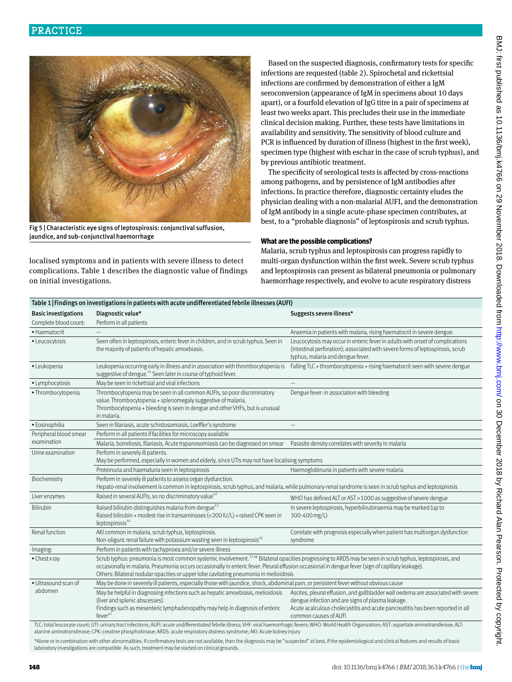

Fig 5 | Characteristic eye signs of leptospirosis: conjunctival suffusion, jaundice, and sub-conjunctival haemorrhage

localised symptoms and in patients with severe illness to detect complications. Table 1 describes the diagnostic value of findings on initial investigations.

Based on the suspected diagnosis, confirmatory tests for specific infections are requested (table 2). Spirochetal and rickettsial infections are confirmed by demonstration of either a IgM seroconversion (appearance of IgM in specimens about 10 days apart), or a fourfold elevation of IgG titre in a pair of specimens at least two weeks apart. This precludes their use in the immediate clinical decision making. Further, these tests have limitations in availability and sensitivity. The sensitivity of blood culture and PCR is influenced by duration of illness (highest in the first week), specimen type (highest with eschar in the case of scrub typhus), and by previous antibiotic treatment.

The specificity of serological tests is affected by cross-reactions among pathogens, and by persistence of IgM antibodies after infections. In practice therefore, diagnostic certainty eludes the physician dealing with a non-malarial AUFI, and the demonstration of IgM antibody in a single acute-phase specimen contributes, at best, to a "probable diagnosis" of leptospirosis and scrub typhus.

#### **What are the possible complications?**

Malaria, scrub typhus and leptospirosis can progress rapidly to multi-organ dysfunction within the first week. Severe scrub typhus and leptospirosis can present as bilateral pneumonia or pulmonary haemorrhage respectively, and evolve to acute respiratory distress

| Table 1   Findings on investigations in patients with acute undifferentiated febrile illnesses (AUFI) |                                                                                                                                                                                                                                                                                                                                                                                                                    |                                                                                                                                                                                                                                                   |  |  |
|-------------------------------------------------------------------------------------------------------|--------------------------------------------------------------------------------------------------------------------------------------------------------------------------------------------------------------------------------------------------------------------------------------------------------------------------------------------------------------------------------------------------------------------|---------------------------------------------------------------------------------------------------------------------------------------------------------------------------------------------------------------------------------------------------|--|--|
| <b>Basic investigations</b>                                                                           | Diagnostic value*                                                                                                                                                                                                                                                                                                                                                                                                  | Suggests severe illness*                                                                                                                                                                                                                          |  |  |
| Complete blood count:                                                                                 | Perform in all patients                                                                                                                                                                                                                                                                                                                                                                                            |                                                                                                                                                                                                                                                   |  |  |
| · Haematocrit                                                                                         |                                                                                                                                                                                                                                                                                                                                                                                                                    | Anaemia in patients with malaria, rising haematocrit in severe dengue.                                                                                                                                                                            |  |  |
| · Leucocytosis                                                                                        | Seen often in leptospirosis, enteric fever in children, and in scrub typhus. Seen in<br>the majority of patients of hepatic amoebiasis.                                                                                                                                                                                                                                                                            | Leucocytosis may occur in enteric fever in adults with onset of complications<br>(intestinal perforation); associated with severe forms of leptospirosis, scrub<br>typhus, malaria and dengue fever.                                              |  |  |
| · Leukopenia                                                                                          | Leukopenia occurring early in illness and in association with thrombocytopenia is<br>suggestive of dengue. <sup>41</sup> Seen later in course of typhoid fever.                                                                                                                                                                                                                                                    | Falling TLC + thrombocytopenia + rising haematocrit seen with severe dengue                                                                                                                                                                       |  |  |
| • Lymphocytosis                                                                                       | May be seen in rickettsial and viral infections                                                                                                                                                                                                                                                                                                                                                                    |                                                                                                                                                                                                                                                   |  |  |
| · Thrombocytopenia                                                                                    | Thrombocytopenia may be seen in all common AUFIs, so poor discriminatory<br>value. Thrombocytopenia + splenomegaly suggestive of malaria,<br>Thrombocytopenia + bleeding is seen in dengue and other VHFs, but is unusual<br>in malaria.                                                                                                                                                                           | Dengue fever: in association with bleeding                                                                                                                                                                                                        |  |  |
| · Eosinophilia                                                                                        | Seen in filariasis, acute schistosomiasis, Loeffler's syndrome                                                                                                                                                                                                                                                                                                                                                     |                                                                                                                                                                                                                                                   |  |  |
| Peripheral blood smear                                                                                | Perform in all patients if facilities for microscopy available                                                                                                                                                                                                                                                                                                                                                     |                                                                                                                                                                                                                                                   |  |  |
| examination                                                                                           | Malaria, borreliosis, filariasis, Acute trypanosomiasis can be diagnosed on smear Parasite density correlates with severity in malaria                                                                                                                                                                                                                                                                             |                                                                                                                                                                                                                                                   |  |  |
| Urine examination                                                                                     | Perform in severely ill patients.<br>May be performed, especially in women and elderly, since UTIs may not have localising symptoms                                                                                                                                                                                                                                                                                |                                                                                                                                                                                                                                                   |  |  |
|                                                                                                       | Proteinuria and haematuria seen in leptospirosis                                                                                                                                                                                                                                                                                                                                                                   | Haemoglobinuria in patients with severe malaria                                                                                                                                                                                                   |  |  |
| Biochemistry                                                                                          | Perform in severely ill patients to assess organ dysfunction.<br>Hepato-renal involvement is common in leptospirosis, scrub typhus, and malaria, while pulmonary-renal syndrome is seen in scrub typhus and leptospirosis                                                                                                                                                                                          |                                                                                                                                                                                                                                                   |  |  |
| Liver enzymes                                                                                         | Raised in several AUFIs, so no discriminatory value <sup>42</sup>                                                                                                                                                                                                                                                                                                                                                  | WHO has defined ALT or AST > 1000 as suggestive of severe dengue                                                                                                                                                                                  |  |  |
| Bilirubin                                                                                             | Raised bilirubin distinguishes malaria from dengue <sup>43</sup><br>Raised bilirubin + modest rise in transaminases (<200 IU/L) + raised CPK seen in<br>leptospirosis <sup>44</sup>                                                                                                                                                                                                                                | In severe leptospirosis, hyperbilirubinaemia may be marked (up to<br>300-400 mg/L)                                                                                                                                                                |  |  |
| Renal function                                                                                        | AKI common in malaria, scrub typhus, leptospirosis.<br>Non-oliguric renal failure with potassium wasting seen in leptospirosis <sup>45</sup>                                                                                                                                                                                                                                                                       | Correlate with prognosis especially when patient has multiorgan dysfunction<br>syndrome                                                                                                                                                           |  |  |
| Imaging:                                                                                              | Perform in patients with tachypnoea and/or severe illness                                                                                                                                                                                                                                                                                                                                                          |                                                                                                                                                                                                                                                   |  |  |
| • Chest xray                                                                                          | Scrub typhus: pneumonia is most common systemic involvement. <sup>3346</sup> Bilateral opacities progressing to ARDS may be seen in scrub typhus, leptospirosis, and<br>occasionally in malaria. Pneumonia occurs occasionally in enteric fever. Pleural effusion occasional in dengue fever (sign of capillary leakage).<br>Others: Bilateral nodular opacities or upper lobe cavitating pneumonia in melioidosis |                                                                                                                                                                                                                                                   |  |  |
| · Ultrasound scan of                                                                                  | May be done in severely ill patients, especially those with jaundice, shock, abdominal pain, or persistent fever without obvious cause                                                                                                                                                                                                                                                                             |                                                                                                                                                                                                                                                   |  |  |
| abdomen                                                                                               | May be helpful in diagnosing infections such as hepatic amoebiasis, melioidosis<br>(liver and splenic abscesses).<br>Findings such as mesenteric lymphadenopathy may help in diagnosis of enteric<br>$fever^{47}$                                                                                                                                                                                                  | Ascites, pleural effusion, and gallbladder wall oedema are associated with severe<br>dengue infection and are signs of plasma leakage.<br>Acute acalculous cholecystitis and acute pancreatitis has been reported in all<br>common causes of AUFI |  |  |
|                                                                                                       | TLC: total leucocyte count; UTI: urinary tract infections; AUFI: acute undifferentiated febrile illness; VHF: viral haemorrhagic fevers; WHO: World Health Organization; AST: aspartate aminotransferase; ALT:                                                                                                                                                                                                     |                                                                                                                                                                                                                                                   |  |  |

alanine aminotransferase; CPK: creatine phosphokinase; ARDS: acute respiratory distress syndrome; AKI: Acute kidney injury

\*Alone or in combination with other abnormalities. If confirmatory tests are not available, then the diagnosis may be "suspected" at best, if the epidemiological and clinical features and results of basic laboratory investigations are compatible. As such, treatment may be started on clinical grounds.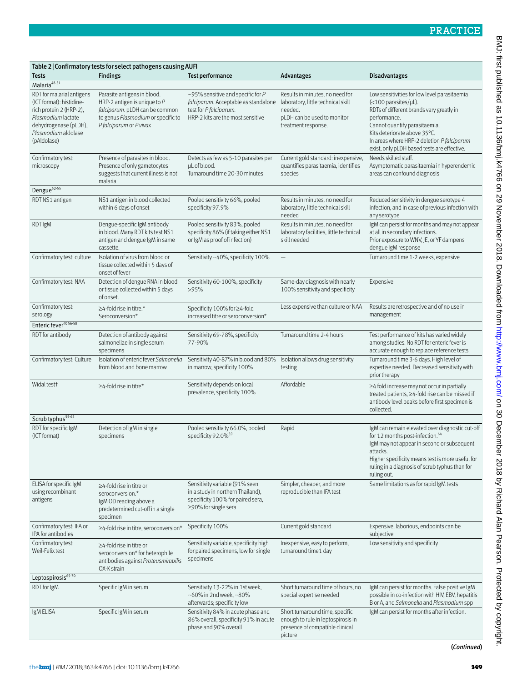| Table 2   Confirmatory tests for select pathogens causing AUFI                                                                                                        |                                                                                                                                                                  |                                                                                                                                                                               |                                                                                                                     |                                                                                                                                                                                                                                                                                                         |
|-----------------------------------------------------------------------------------------------------------------------------------------------------------------------|------------------------------------------------------------------------------------------------------------------------------------------------------------------|-------------------------------------------------------------------------------------------------------------------------------------------------------------------------------|---------------------------------------------------------------------------------------------------------------------|---------------------------------------------------------------------------------------------------------------------------------------------------------------------------------------------------------------------------------------------------------------------------------------------------------|
| Tests                                                                                                                                                                 | <b>Findings</b>                                                                                                                                                  | Test performance                                                                                                                                                              | <b>Advantages</b>                                                                                                   | <b>Disadvantages</b>                                                                                                                                                                                                                                                                                    |
| Malaria <sup>48-51</sup>                                                                                                                                              |                                                                                                                                                                  |                                                                                                                                                                               |                                                                                                                     |                                                                                                                                                                                                                                                                                                         |
| RDT for malarial antigens<br>(ICT format): histidine-<br>rich protein 2 (HRP-2),<br>Plasmodium lactate<br>dehydrogenase (pLDH),<br>Plasmodium aldolase<br>(pAldolase) | Parasite antigens in blood.<br>HRP-2 antigen is unique to $P$<br>falciparum. pLDH can be common<br>to genus Plasmodium or specific to<br>P falciparum or P vivax | ~95% sensitive and specific for $P$<br>falciparum. Acceptable as standalone laboratory, little technical skill<br>test for P falciparum.<br>HRP-2 kits are the most sensitive | Results in minutes, no need for<br>needed.<br>pLDH can be used to monitor<br>treatment response.                    | Low sensitivities for low level parasitaemia<br>$\left($ < 100 parasites/µL).<br>RDTs of different brands vary greatly in<br>performance.<br>Cannot quantify parasitaemia.<br>Kits deteriorate above 35°C.<br>In areas where HRP-2 deletion P falciparum<br>exist, only pLDH based tests are effective. |
| Confirmatory test:<br>microscopy                                                                                                                                      | Presence of parasites in blood.<br>Presence of only gametocytes<br>suggests that current illness is not<br>malaria                                               | Detects as few as 5-10 parasites per<br>µL of blood.<br>Turnaround time 20-30 minutes                                                                                         | Current gold standard: inexpensive,<br>quantifies parasitaemia, identifies<br>species                               | Needs skilled staff.<br>Asymptomatic parasitaemia in hyperendemic<br>areas can confound diagnosis                                                                                                                                                                                                       |
| Dengue <sup>52-55</sup>                                                                                                                                               |                                                                                                                                                                  |                                                                                                                                                                               |                                                                                                                     |                                                                                                                                                                                                                                                                                                         |
| RDT NS1 antigen                                                                                                                                                       | NS1 antigen in blood collected<br>within 6 days of onset                                                                                                         | Pooled sensitivity 66%, pooled<br>specificity 97.9%                                                                                                                           | Results in minutes, no need for<br>laboratory, little technical skill<br>needed                                     | Reduced sensitivity in dengue serotype 4<br>infection, and in case of previous infection with<br>any serotype                                                                                                                                                                                           |
| <b>RDTIgM</b>                                                                                                                                                         | Dengue-specific IgM antibody<br>in blood. Many RDT kits test NS1<br>antigen and dengue IgM in same<br>cassette.                                                  | Pooled sensitivity 83%, pooled<br>specificity 86% (if taking either NS1<br>or IgM as proof of infection)                                                                      | Results in minutes, no need for<br>laboratory facilities, little technical<br>skill needed                          | IgM can persist for months and may not appear<br>at all in secondary infections.<br>Prior exposure to WNV, JE, or YF dampens<br>dengue IgM response                                                                                                                                                     |
| Confirmatory test: culture                                                                                                                                            | Isolation of virus from blood or<br>tissue collected within 5 days of<br>onset of fever                                                                          | Sensitivity ~40%, specificity 100%                                                                                                                                            |                                                                                                                     | Turnaround time 1-2 weeks, expensive                                                                                                                                                                                                                                                                    |
| Confirmatory test: NAA                                                                                                                                                | Detection of dengue RNA in blood<br>or tissue collected within 5 days<br>of onset.                                                                               | Sensitivity 60-100%, specificity<br>>95%                                                                                                                                      | Same-day diagnosis with nearly<br>100% sensitivity and specificity                                                  | Expensive                                                                                                                                                                                                                                                                                               |
| Confirmatory test:<br>serology                                                                                                                                        | $\geq$ 4-fold rise in titre.*<br>Seroconversion*                                                                                                                 | Specificity 100% for ≥4-fold<br>increased titre or seroconversion*                                                                                                            | Less expensive than culture or NAA                                                                                  | Results are retrospective and of no use in<br>management                                                                                                                                                                                                                                                |
| Enteric fever <sup>40 56-58</sup>                                                                                                                                     |                                                                                                                                                                  |                                                                                                                                                                               |                                                                                                                     |                                                                                                                                                                                                                                                                                                         |
| RDT for antibody                                                                                                                                                      | Detection of antibody against<br>salmonellae in single serum<br>specimens                                                                                        | Sensitivity 69-78%, specificity<br>77-90%                                                                                                                                     | Turnaround time 2-4 hours                                                                                           | Test performance of kits has varied widely<br>among studies. No RDT for enteric fever is<br>accurate enough to replace reference tests.                                                                                                                                                                 |
| Confirmatory test: Culture                                                                                                                                            | Isolation of enteric fever Salmonella<br>from blood and bone marrow                                                                                              | Sensitivity 40-87% in blood and 80% Isolation allows drug sensitivity<br>in marrow, specificity 100%                                                                          | testing                                                                                                             | Turnaround time 3-6 days. High level of<br>expertise needed. Decreased sensitivity with<br>prior therapy                                                                                                                                                                                                |
| Widal test <sup>+</sup>                                                                                                                                               | $\geq$ 4-fold rise in titre*                                                                                                                                     | Sensitivity depends on local<br>prevalence, specificity 100%                                                                                                                  | Affordable                                                                                                          | ≥4 fold increase may not occur in partially<br>treated patients, ≥4-fold rise can be missed if<br>antibody level peaks before first specimen is<br>collected.                                                                                                                                           |
| Scrub typhus <sup>59-63</sup>                                                                                                                                         |                                                                                                                                                                  |                                                                                                                                                                               |                                                                                                                     |                                                                                                                                                                                                                                                                                                         |
| RDT for specific IgM<br>(ICT format)                                                                                                                                  | Detection of IgM in single<br>specimens                                                                                                                          | Pooled sensitivity 66.0%, pooled<br>specificity 92.0% <sup>59</sup>                                                                                                           | Rapid                                                                                                               | IgM can remain elevated over diagnostic cut-off<br>for 12 months post-infection. <sup>64</sup><br>IgM may not appear in second or subsequent<br>attacks.<br>Higher specificity means test is more useful for<br>ruling in a diagnosis of scrub typhus than for<br>ruling out.                           |
| ELISA for specific IgM<br>using recombinant<br>antigens                                                                                                               | ≥4-fold rise in titre or<br>seroconversion.*<br>IgM OD reading above a<br>predetermined cut-off in a single<br>specimen                                          | Sensitivity variable (91% seen<br>in a study in northern Thailand),<br>specificity 100% for paired sera,<br>$\geq$ 90% for single sera                                        | Simpler, cheaper, and more<br>reproducible than IFA test                                                            | Same limitations as for rapid IgM tests                                                                                                                                                                                                                                                                 |
| Confirmatory test: IFA or<br>IPA for antibodies                                                                                                                       | ≥4-fold rise in titre, seroconversion*                                                                                                                           | Specificity 100%                                                                                                                                                              | Current gold standard                                                                                               | Expensive, laborious, endpoints can be<br>subjective                                                                                                                                                                                                                                                    |
| Confirmatory test:<br>Weil-Felix test                                                                                                                                 | ≥4-fold rise in titre or<br>seroconversion* for heterophile<br>antibodies against Proteusmirabilis<br>OX-K strain                                                | Sensitivity variable, specificity high<br>for paired specimens, low for single<br>specimens                                                                                   | Inexpensive, easy to perform,<br>turnaround time 1 day                                                              | Low sensitivity and specificity                                                                                                                                                                                                                                                                         |
| Leptospirosis <sup>65-70</sup>                                                                                                                                        |                                                                                                                                                                  |                                                                                                                                                                               |                                                                                                                     |                                                                                                                                                                                                                                                                                                         |
| RDT for IgM                                                                                                                                                           | Specific IgM in serum                                                                                                                                            | Sensitivity 13-22% in 1st week,<br>$~100\%$ in 2nd week, $~100\%$<br>afterwards; specificity low                                                                              | Short turnaround time of hours, no<br>special expertise needed                                                      | IgM can persist for months. False positive IgM<br>possible in co-infection with HIV, EBV, hepatitis<br>B or A, and Salmonella and Plasmodium spp                                                                                                                                                        |
| IgM ELISA                                                                                                                                                             | Specific IgM in serum                                                                                                                                            | Sensitivity 84% in acute phase and<br>86% overall, specificity 91% in acute<br>phase and 90% overall                                                                          | Short turnaround time, specific<br>enough to rule in leptospirosis in<br>presence of compatible clinical<br>picture | IgM can persist for months after infection.                                                                                                                                                                                                                                                             |

(*Continued*)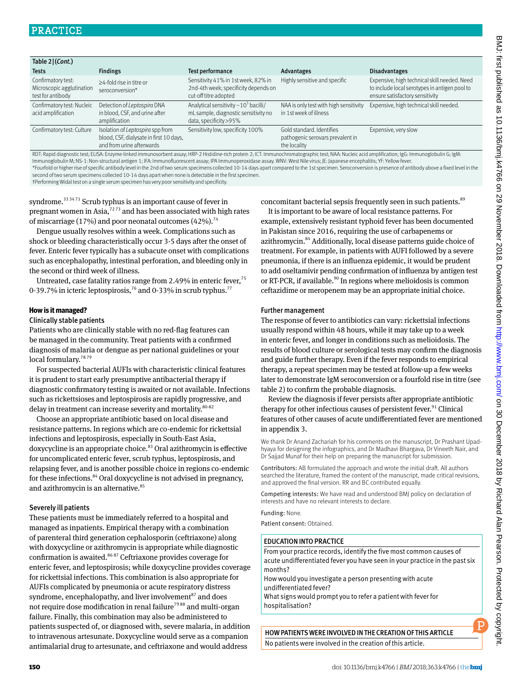| Table 2 (Cont.)                                                      |                                                                                                          |                                                                                                                           |                                                                               |                                                                                                                                  |  |
|----------------------------------------------------------------------|----------------------------------------------------------------------------------------------------------|---------------------------------------------------------------------------------------------------------------------------|-------------------------------------------------------------------------------|----------------------------------------------------------------------------------------------------------------------------------|--|
| <b>Tests</b>                                                         | <b>Findings</b>                                                                                          | <b>Test performance</b>                                                                                                   | Advantages                                                                    | <b>Disadvantages</b>                                                                                                             |  |
| Confirmatory test:<br>Microscopic agglutination<br>test for antibody | >4-fold rise in titre or<br>seroconversion*                                                              | Sensitivity 41% in 1st week, 82% in<br>2nd-4th week; specificity depends on<br>cut-off titre adopted                      | Highly sensitive and specific                                                 | Expensive, high technical skill needed. Need<br>to include local serotypes in antigen pool to<br>ensure satisfactory sensitivity |  |
| Confirmatory test: Nucleic<br>acid amplification                     | Detection of Leptospira DNA<br>in blood, CSF, and urine after<br>amplification                           | Analytical sensitivity $\sim$ 10 <sup>5</sup> bacilli/<br>mL sample, diagnostic sensitivity no<br>data, specificity > 95% | NAA is only test with high sensitivity<br>in 1st week of illness              | Expensive, high technical skill needed.                                                                                          |  |
| Confirmatory test: Culture                                           | Isolation of Leptospira spp from<br>blood, CSF, dialysate in first 10 days,<br>and from urine afterwards | Sensitivity low, specificity 100%                                                                                         | Gold standard. Identifies<br>pathogenic serovars prevalent in<br>the locality | Expensive, very slow                                                                                                             |  |

RDT: Rapid diagnostic test; ELISA: Enzyme-linked immunosorbent assay; HRP-2 Histidine-rich protein 2; ICT: Immunochromatographic test; NAA: Nucleic acid amplification; IgG: Immunoglobulin G; IgM: Immunoglobulin M; NS-1: Non-structural antigen 1; IFA: Immunofluorescent assay; IPA Immunoperoxidase assay. WNV: West Nile virus; JE: Japanese encephalitis; YF: Yellow fever. \*Fourfold or higher rise of specific antibody level in the 2nd of two serum specimens collected 10-14 days apart compared to the 1st specimen. Seroconversion is presence of antibody above a fixed level in the second of two serum specimens collected 10-14 days apart when none is detectable in the first specimen. †Performing Widal test on a single serum specimen has very poor sensitivity and specificity.

syndrome.<sup>33 3471</sup> Scrub typhus is an important cause of fever in pregnant women in Asia, $7273$  and has been associated with high rates of miscarriage (17%) and poor neonatal outcomes (42%).<sup>74</sup>

Dengue usually resolves within a week. Complications such as shock or bleeding characteristically occur 3-5 days after the onset of fever. Enteric fever typically has a subacute onset with complications such as encephalopathy, intestinal perforation, and bleeding only in the second or third week of illness.

Untreated, case fatality ratios range from 2.49% in enteric fever,  $75$ 0-39.7% in icteric leptospirosis,<sup>76</sup> and 0-33% in scrub typhus.<sup>77</sup>

#### **How is it managed?**

#### Clinically stable patients

Patients who are clinically stable with no red-flag features can be managed in the community. Treat patients with a confirmed diagnosis of malaria or dengue as per national guidelines or your local formulary.<sup>7879</sup>

For suspected bacterial AUFIs with characteristic clinical features it is prudent to start early presumptive antibacterial therapy if diagnostic confirmatory testing is awaited or not available. Infections such as rickettsioses and leptospirosis are rapidly progressive, and delay in treatment can increase severity and mortality.<sup>80-82</sup>

Choose an appropriate antibiotic based on local disease and resistance patterns. In regions which are co-endemic for rickettsial infections and leptospirosis, especially in South-East Asia, doxycycline is an appropriate choice.<sup>83</sup> Oral azithromycin is effective for uncomplicated enteric fever, scrub typhus, leptospirosis, and relapsing fever, and is another possible choice in regions co-endemic for these infections.<sup>84</sup> Oral doxycycline is not advised in pregnancy, and azithromycin is an alternative.<sup>85</sup>

#### Severely ill patients

These patients must be immediately referred to a hospital and managed as inpatients. Empirical therapy with a combination of parenteral third generation cephalosporin (ceftriaxone) along with doxycycline or azithromycin is appropriate while diagnostic confirmation is awaited.<sup>86 87</sup> Ceftriaxone provides coverage for enteric fever, and leptospirosis; while doxycycline provides coverage for rickettsial infections. This combination is also appropriate for AUFIs complicated by pneumonia or acute respiratory distress syndrome, encephalopathy, and liver involvement $^{87}$  and does not require dose modification in renal failure<sup>7988</sup> and multi-organ failure. Finally, this combination may also be administered to patients suspected of, or diagnosed with, severe malaria, in addition to intravenous artesunate. Doxycycline would serve as a companion antimalarial drug to artesunate, and ceftriaxone and would address

concomitant bacterial sepsis frequently seen in such patients.<sup>89</sup> It is important to be aware of local resistance patterns. For

example, extensively resistant typhoid fever has been documented in Pakistan since 2016, requiring the use of carbapenems or azithromycin.<sup>84</sup> Additionally, local disease patterns guide choice of treatment. For example, in patients with AUFI followed by a severe pneumonia, if there is an influenza epidemic, it would be prudent to add oseltamivir pending confirmation of influenza by antigen test or RT-PCR, if available.<sup>90</sup> In regions where melioidosis is common ceftazidime or meropenem may be an appropriate initial choice.

#### Further management

The response of fever to antibiotics can vary: rickettsial infections usually respond within 48 hours, while it may take up to a week in enteric fever, and longer in conditions such as melioidosis. The results of blood culture or serological tests may confirm the diagnosis and guide further therapy. Even if the fever responds to empirical therapy, a repeat specimen may be tested at follow-up a few weeks later to demonstrate IgM seroconversion or a fourfold rise in titre (see table 2) to confirm the probable diagnosis.

Review the diagnosis if fever persists after appropriate antibiotic therapy for other infectious causes of persistent fever.<sup>91</sup> Clinical features of other causes of acute undifferentiated fever are mentioned in appendix 3.

We thank Dr Anand Zachariah for his comments on the manuscript, Dr Prashant Upadhyaya for designing the infographics, and Dr Madhavi Bhargava, Dr Vineeth Nair, and Dr Sajjad Munaf for their help on preparing the manuscript for submission.

Contributors: AB formulated the approach and wrote the initial draft. All authors searched the literature, framed the content of the manuscript, made critical revisions, and approved the final version. RR and BC contributed equally.

Competing interests: We have read and understood BMJ policy on declaration of interests and have no relevant interests to declare.

Funding: None.

Patient consent: Obtained.

#### EDUCATION INTO PRACTICE

From your practice records, identify the five most common causes of acute undifferentiated fever you have seen in your practice in the past six months?

How would you investigate a person presenting with acute undifferentiated fever?

What signs would prompt you to refer a patient with fever for hospitalisation?

HOW PATIENTS WERE INVOLVED IN THE CREATION OF THIS ARTICLE No patients were involved in the creation of this article.

P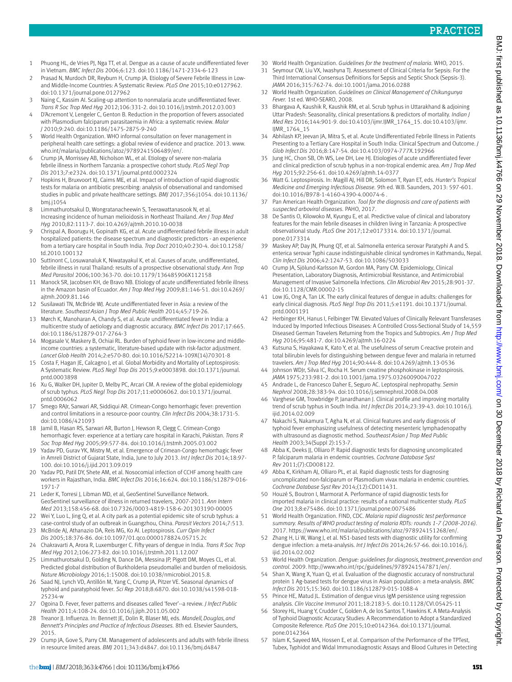BMJ: first published as 10.1136/bmj.k4766 on 29 November 2018. Downloaded from http://www.bmj.com/ on 30 December 2018 by Richard Alan Pearson. Protected by copyright BMJ: first published as 10.1136/bmj.k4766 on 29 November 2018. Downloaded from <http://www.bmj.com/> on 30 December 2018 by Richard Alan Pearson. Protected by copyright.

- 1 Phuong HL, de Vries PJ, Nga TT, et al. Dengue as a cause of acute undifferentiated fever in Vietnam. *BMC Infect Dis* 2006;6:123. doi:10.1186/1471-2334-6-123
- Prasad N, Murdoch DR, Reyburn H, Crump JA. Etiology of Severe Febrile Illness in Lowand Middle-Income Countries: A Systematic Review. *PLoS One* 2015;10:e0127962. doi:10.1371/journal.pone.0127962
- Naing C, Kassim AI. Scaling-up attention to nonmalaria acute undifferentiated fever. *Trans R Soc Trop Med Hyg* 2012;106:331-2. doi:10.1016/j.trstmh.2012.03.003
- 4 D'Acremont V, Lengeler C, Genton B. Reduction in the proportion of fevers associated with Plasmodium falciparum parasitaemia in Africa: a systematic review. *Malar J* 2010;9:240. doi:10.1186/1475-2875-9-240
- 5 World Health Organization. WHO informal consultation on fever management in peripheral health care settings: a global review of evidence and practice. 2013. [www.](http://www.who.int/malaria/publications/atoz/9789241506489/en/) [who.int/malaria/publications/atoz/9789241506489/en/.](http://www.who.int/malaria/publications/atoz/9789241506489/en/)
- 6 Crump JA, Morrissey AB, Nicholson WL, et al. Etiology of severe non-malaria febrile illness in Northern Tanzania: a prospective cohort study. *PLoS Negl Trop Dis* 2013;7:e2324. doi:10.1371/journal.pntd.0002324
- 7 Hopkins H, Bruxvoort KJ, Cairns ME, et al. Impact of introduction of rapid diagnostic tests for malaria on antibiotic prescribing: analysis of observational and randomised studies in public and private healthcare settings. *BMJ* 2017;356:j1054. doi:10.1136/ bmj.j1054
- 8 Limmathurotsakul D, Wongratanacheewin S, Teerawattanasook N, et al. Increasing incidence of human melioidosis in Northeast Thailand. *Am J Trop Med Hyg* 2010;82:1113-7. doi:10.4269/ajtmh.2010.10-0038
- 9 Chrispal A, Boorugu H, Gopinath KG, et al. Acute undifferentiated febrile illness in adult hospitalized patients: the disease spectrum and diagnostic predictors - an experience from a tertiary care hospital in South India. *Trop Doct* 2010;40:230-4. doi:10.1258/ td.2010.100132
- 10 Suttinont C, Losuwanaluk K, Niwatayakul K, et al. Causes of acute, undifferentiated, febrile illness in rural Thailand: results of a prospective observational study. *Ann Trop Med Parasitol* 2006;100:363-70. doi:10.1179/136485906X112158
- 11 Manock SR, Jacobsen KH, de Bravo NB. Etiology of acute undifferentiated febrile illness in the Amazon basin of Ecuador. *Am J Trop Med Hyg* 2009;81:146-51. doi:10.4269/ ajtmh.2009.81.146
- 12 Susilawati TN, McBride WJ. Acute undifferentiated fever in Asia: a review of the literature. *Southeast Asian J Trop Med Public Health* 2014;45:719-26.
- 13 Mørch K, Manoharan A, Chandy S, et al. Acute undifferentiated fever in India: a multicentre study of aetiology and diagnostic accuracy. *BMC Infect Dis* 2017;17:665. doi:10.1186/s12879-017-2764-3
- 14 Mogasale V, Maskery B, Ochiai RL. Burden of typhoid fever in low-income and middleincome countries: a systematic, literature-based update with risk-factor adjustment. *Lancet Glob Health* 2014;2:e570-80. doi:10.1016/S2214-109X(14)70301-8
- 15 Costa F, Hagan JE, Calcagno J, et al. Global Morbidity and Mortality of Leptospirosis: A Systematic Review. *PLoS Negl Trop Dis* 2015;9:e0003898. doi:10.1371/journal. pntd.0003898
- 16 Xu G, Walker DH, Jupiter D, Melby PC, Arcari CM. A review of the global epidemiology of scrub typhus. *PLoS Negl Trop Dis* 2017;11:e0006062. doi:10.1371/journal. pntd.0006062
- Smego RAJr, Sarwari AR, Siddiqui AR. Crimean-Congo hemorrhagic fever: prevention and control limitations in a resource-poor country. *Clin Infect Dis* 2004;38:1731-5. doi:10.1086/421093
- 18 Jamil B, Hasan RS, Sarwari AR, Burton J, Hewson R, Clegg C. Crimean-Congo hemorrhagic fever: experience at a tertiary care hospital in Karachi, Pakistan. *Trans R Soc Trop Med Hyg* 2005;99:577-84. doi:10.1016/j.trstmh.2005.03.002
- 19 Yadav PD, Gurav YK, Mistry M, et al. Emergence of Crimean-Congo hemorrhagic fever in Amreli District of Gujarat State, India, June to July 2013. *Int J Infect Dis* 2014;18:97- 100. doi:10.1016/j.ijid.2013.09.019
- 20 Yadav PD, Patil DY, Shete AM, et al. Nosocomial infection of CCHF among health care workers in Rajasthan, India. *BMC Infect Dis* 2016;16:624. doi:10.1186/s12879-016- 1971-7
- 21 Leder K, Torresi J, Libman MD, et al, GeoSentinel Surveillance Network. GeoSentinel surveillance of illness in returned travelers, 2007-2011. *Ann Intern Med* 2013;158:456-68. doi:10.7326/0003-4819-158-6-201303190-00005
- 22 Wei Y, Luo L, Jing Q, et al. A city park as a potential epidemic site of scrub typhus: a case-control study of an outbreak in Guangzhou, China. *Parasit Vectors* 2014;7:513.
- 23 McBride AJ, Athanazio DA, Reis MG, Ko AI. Leptospirosis. *Curr Opin Infect Dis* 2005;18:376-86. doi:10.1097/01.qco.0000178824.05715.2c
- 24 Chakravarti A, Arora R, Luxemburger C. Fifty years of dengue in India. *Trans R Soc Trop Med Hyg* 2012;106:273-82. doi:10.1016/j.trstmh.2011.12.007
- 25 Limmathurotsakul D, Golding N, Dance DA, Messina JP, Pigott DM, Moyes CL, et al. Predicted global distribution of Burkholderia pseudomallei and burden of melioidosis. *Nature Microbiology* 2016;1:15008. doi:10.1038/nmicrobiol.2015.8.
- 26 Saad NJ, Lynch VD, Antillón M, Yang C, Crump JA, Pitzer VE. Seasonal dynamics of typhoid and paratyphoid fever. *Sci Rep* 2018;8:6870. doi:10.1038/s41598-018- 25234-w
- 27 Ogoina D. Fever, fever patterns and diseases called 'fever'--a review. *J Infect Public Health* 2011;4:108-24. doi:10.1016/j.jiph.2011.05.002
- 28 Treanor JJ. Influenza. In: Bennett JE, Dolin R, Blaser MJ, eds. *Mandell, Douglas, and Bennett's Principles and Practice of Infectious Diseases.* 8th ed. Elsevier Saunders, 2015.
- 29 Crump JA, Gove S, Parry CM. Management of adolescents and adults with febrile illness in resource limited areas. *BMJ* 2011;343:d4847. doi:10.1136/bmj.d4847
- 30 World Health Organization. *Guidelines for the treatment of malaria.* WHO, 2015.
- 31 Seymour CW, Liu VX, Iwashyna TJ. Assessment of Clinical Criteria for Sepsis: For the Third International Consensus Definitions for Sepsis and Septic Shock (Sepsis-3). *JAMA* 2016;315:762-74. doi:10.1001/jama.2016.0288
- 32 World Health Organization. *Guidelines on Clinical Management of Chikungunya Fever.* 1st ed. WHO-SEARO, 2008.
- 33 Bhargava A, Kaushik R, Kaushik RM, et al. Scrub typhus in Uttarakhand & adjoining Uttar Pradesh: Seasonality, clinical presentations & predictors of mortality. *Indian J Med Res* 2016;144:901-9. doi:10.4103/ijmr.IJMR\_1764\_15. doi:10.4103/ijmr. IJMR\_1764\_15
- 34 Abhilash KP, Jeevan JA, Mitra S, et al. Acute Undifferentiated Febrile Illness in Patients Presenting to a Tertiary Care Hospital in South India: Clinical Spectrum and Outcome. *J Glob Infect Dis* 2016;8:147-54. doi:10.4103/0974-777X.192966
- 35 Jung HC, Chon SB, Oh WS, Lee DH, Lee HJ. Etiologies of acute undifferentiated fever and clinical prediction of scrub typhus in a non-tropical endemic area. *Am J Trop Med Hyg* 2015;92:256-61. doi:10.4269/ajtmh.14-0377
- 36 Watt G. Leptospirosis. In: Magill AJ, Hill DR, Solomon T, Ryan ET, eds. *Hunter's Tropical Medicine and Emerging Infectious Disease.* 9th ed. W.B. Saunders, 2013: 597-601. doi:10.1016/B978-1-4160-4390-4.00074-6 .
- 37 Pan American Health Organization. *Tool for the diagnosis and care of patients with suspected arboviral diseases.* PAHO, 2017.
- 38 De Santis O, Kilowoko M, Kyungu E, et al. Predictive value of clinical and laboratory features for the main febrile diseases in children living in Tanzania: A prospective observational study. *PLoS One* 2017;12:e0173314. doi:10.1371/journal. pone.0173314
- 39 Maskey AP, Day JN, Phung QT, et al. Salmonella enterica serovar Paratyphi A and S. enterica serovar Typhi cause indistinguishable clinical syndromes in Kathmandu, Nepal. *Clin Infect Dis* 2006;42:1247-53. doi:10.1086/503033
- Crump JA, Sjölund-Karlsson M, Gordon MA, Parry CM. Epidemiology, Clinical Presentation, Laboratory Diagnosis, Antimicrobial Resistance, and Antimicrobial Management of Invasive Salmonella Infections. *Clin Microbiol Rev* 2015;28:901-37. doi:10.1128/CMR.00002-15
- 41 Low JG, Ong A, Tan LK. The early clinical features of dengue in adults: challenges for early clinical diagnosis. *PLoS Negl Trop Dis* 2011;5:e1191. doi:10.1371/journal. pntd.0001191
- 42 Herbinger KH, Hanus I, Felbinger TW. Elevated Values of Clinically Relevant Transferases Induced by Imported Infectious Diseases: A Controlled Cross-Sectional Study of 14,559 Diseased German Travelers Returning from the Tropics and Subtropics. *Am J Trop Med Hyg* 2016;95:481-7. doi:10.4269/ajtmh.16-0224
- 43 Kutsuna S, Hayakawa K, Kato Y, et al. The usefulness of serum C-reactive protein and total bilirubin levels for distinguishing between dengue fever and malaria in returned travelers. *Am J Trop Med Hyg* 2014;90:444-8. doi:10.4269/ajtmh.13-0536
- Johnson WDJr, Silva IC, Rocha H. Serum creatine phosphokinase in leptospirosis. *JAMA* 1975;233:981-2. doi:10.1001/jama.1975.03260090047022
- 45 Andrade L, de Francesco Daher E, Seguro AC. Leptospiral nephropathy. *Semin Nephrol* 2008;28:383-94. doi:10.1016/j.semnephrol.2008.04.008
- 46 Varghese GM, Trowbridge P, Janardhanan J. Clinical profile and improving mortality trend of scrub typhus in South India. *Int J Infect Dis* 2014;23:39-43. doi:10.1016/j. ijid.2014.02.009
- 47 Nakachi S, Nakamura T, Agha N, et al. Clinical features and early diagnosis of typhoid fever emphasizing usefulness of detecting mesenteric lymphadenopathy with ultrasound as diagnostic method. *Southeast Asian J Trop Med Public Health* 2003;34(Suppl 2):153-7.
- 48 Abba K, Deeks JJ, Olliaro P. Rapid diagnostic tests for diagnosing uncomplicated P. falciparum malaria in endemic countries. *Cochrane Database Syst Rev* 2011;(7):CD008122.
- 49 Abba K, Kirkham AJ, Olliaro PL, et al. Rapid diagnostic tests for diagnosing uncomplicated non-falciparum or Plasmodium vivax malaria in endemic countries. *Cochrane Database Syst Rev* 2014;(12):CD011431.
- 50 Houzé S, Boutron I, Marmorat A. Performance of rapid diagnostic tests for imported malaria in clinical practice: results of a national multicenter study. *PLoS One* 2013;8:e75486. doi:10.1371/journal.pone.0075486
- 51 World Health Organization. FIND, CDC. *Malaria rapid diagnostic test performance summary. Results of WHO product testing of malaria RDTs: rounds 1-7 (2008-2016)*. 2017.<https://www.who.int/malaria/publications/atoz/978924151268/en/>.
- 52 Zhang H, Li W, Wang J, et al. NS1-based tests with diagnostic utility for confirming dengue infection: a meta-analysis. *Int J Infect Dis* 2014;26:57-66. doi:10.1016/j. ijid.2014.02.002
- 53 World Health Organization. *Dengue: guidelines for diagnosis, treatment, prevention and control*. 2009. <http://www.who.int/rpc/guidelines/9789241547871/en/>.
- 54 Shan X, Wang X, Yuan Q, et al. Evaluation of the diagnostic accuracy of nonstructural protein 1 Ag-based tests for dengue virus in Asian population: a meta-analysis. *BMC Infect Dis* 2015;15:360. doi:10.1186/s12879-015-1088-4
- 55 Prince HE, Matud JL. Estimation of dengue virus IgM persistence using regression analysis. *Clin Vaccine Immunol* 2011;18:2183-5. doi:10.1128/CVI.05425-11
- 56 Storey HL, Huang Y, Crudder C, Golden A, de los Santos T, Hawkins K. A Meta-Analysis of Typhoid Diagnostic Accuracy Studies: A Recommendation to Adopt a Standardized Composite Reference. *PLoS One* 2015;10:e0142364. doi:10.1371/journal. pone.0142364
- 57 Islam K, Sayeed MA, Hossen E, et al. Comparison of the Performance of the TPTest, Tubex, Typhidot and Widal Immunodiagnostic Assays and Blood Cultures in Detecting